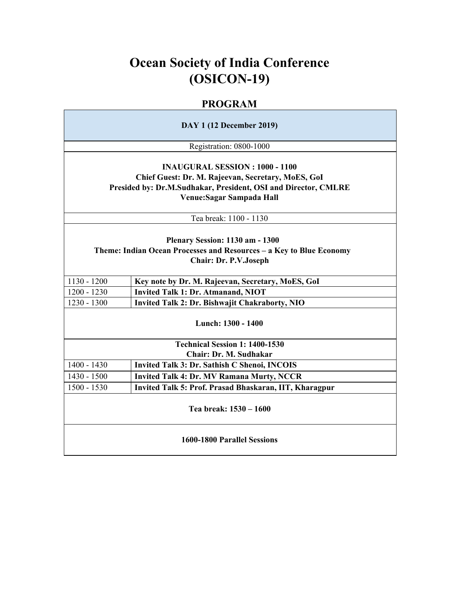# **Ocean Society of India Conference (OSICON-19)**

## **PROGRAM**

| <b>DAY 1 (12 December 2019)</b>                                                                                                                                                             |                                                        |  |  |
|---------------------------------------------------------------------------------------------------------------------------------------------------------------------------------------------|--------------------------------------------------------|--|--|
|                                                                                                                                                                                             | Registration: 0800-1000                                |  |  |
| <b>INAUGURAL SESSION : 1000 - 1100</b><br>Chief Guest: Dr. M. Rajeevan, Secretary, MoES, GoI<br>Presided by: Dr.M.Sudhakar, President, OSI and Director, CMLRE<br>Venue: Sagar Sampada Hall |                                                        |  |  |
|                                                                                                                                                                                             | Tea break: 1100 - 1130                                 |  |  |
| Plenary Session: 1130 am - 1300<br>Theme: Indian Ocean Processes and Resources - a Key to Blue Economy<br><b>Chair: Dr. P.V.Joseph</b>                                                      |                                                        |  |  |
| $1130 - 1200$                                                                                                                                                                               | Key note by Dr. M. Rajeevan, Secretary, MoES, GoI      |  |  |
| $1200 - 1230$                                                                                                                                                                               | <b>Invited Talk 1: Dr. Atmanand, NIOT</b>              |  |  |
| 1230 - 1300                                                                                                                                                                                 | <b>Invited Talk 2: Dr. Bishwajit Chakraborty, NIO</b>  |  |  |
|                                                                                                                                                                                             | Lunch: 1300 - 1400                                     |  |  |
|                                                                                                                                                                                             | <b>Technical Session 1: 1400-1530</b>                  |  |  |
|                                                                                                                                                                                             | Chair: Dr. M. Sudhakar                                 |  |  |
| $1400 - 1430$                                                                                                                                                                               | Invited Talk 3: Dr. Sathish C Shenoi, INCOIS           |  |  |
| 1430 - 1500                                                                                                                                                                                 | <b>Invited Talk 4: Dr. MV Ramana Murty, NCCR</b>       |  |  |
| 1500 - 1530                                                                                                                                                                                 | Invited Talk 5: Prof. Prasad Bhaskaran, IIT, Kharagpur |  |  |
| Tea break: 1530 - 1600                                                                                                                                                                      |                                                        |  |  |
| 1600-1800 Parallel Sessions                                                                                                                                                                 |                                                        |  |  |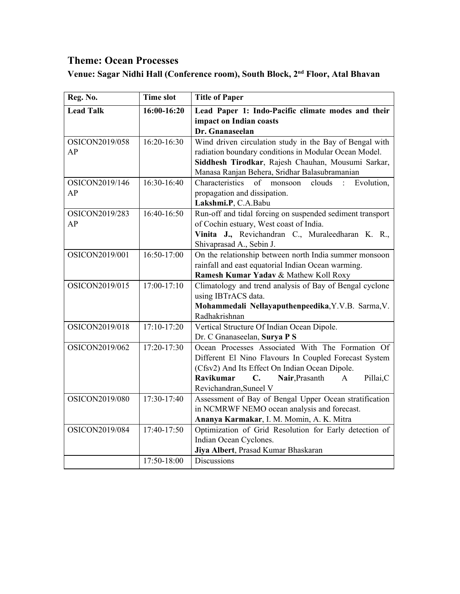## **Theme: Ocean Processes**

**Venue: Sagar Nidhi Hall (Conference room), South Block, 2nd Floor, Atal Bhavan**

| Reg. No.         | <b>Time slot</b> | <b>Title of Paper</b>                                               |
|------------------|------------------|---------------------------------------------------------------------|
| <b>Lead Talk</b> | 16:00-16:20      | Lead Paper 1: Indo-Pacific climate modes and their                  |
|                  |                  | impact on Indian coasts                                             |
|                  |                  | Dr. Gnanaseelan                                                     |
| OSICON2019/058   | 16:20-16:30      | Wind driven circulation study in the Bay of Bengal with             |
| AP               |                  | radiation boundary conditions in Modular Ocean Model.               |
|                  |                  | Siddhesh Tirodkar, Rajesh Chauhan, Mousumi Sarkar,                  |
|                  |                  | Manasa Ranjan Behera, Sridhar Balasubramanian                       |
| OSICON2019/146   | 16:30-16:40      | of<br>Evolution,<br>Characteristics<br>clouds<br>monsoon<br>$\cdot$ |
| AP               |                  | propagation and dissipation.                                        |
|                  |                  | Lakshmi.P, C.A.Babu                                                 |
| OSICON2019/283   | 16:40-16:50      | Run-off and tidal forcing on suspended sediment transport           |
| AP               |                  | of Cochin estuary, West coast of India.                             |
|                  |                  | Vinita J., Revichandran C., Muraleedharan K. R.,                    |
|                  |                  | Shivaprasad A., Sebin J.                                            |
| OSICON2019/001   | 16:50-17:00      | On the relationship between north India summer monsoon              |
|                  |                  | rainfall and east equatorial Indian Ocean warming.                  |
|                  |                  | Ramesh Kumar Yadav & Mathew Koll Roxy                               |
| OSICON2019/015   | $17:00 - 17:10$  | Climatology and trend analysis of Bay of Bengal cyclone             |
|                  |                  | using IBTrACS data.                                                 |
|                  |                  | Mohammedali Nellayaputhenpeedika, Y.V.B. Sarma, V.                  |
|                  |                  | Radhakrishnan                                                       |
| OSICON2019/018   | $17:10-17:20$    | Vertical Structure Of Indian Ocean Dipole.                          |
|                  |                  | Dr. C Gnanaseelan, Surya P S                                        |
| OSICON2019/062   | 17:20-17:30      | Ocean Processes Associated With The Formation Of                    |
|                  |                  | Different El Nino Flavours In Coupled Forecast System               |
|                  |                  | (Cfsv2) And Its Effect On Indian Ocean Dipole.                      |
|                  |                  | <b>Ravikumar</b><br>Nair, Prasanth<br>C.<br>Pillai,C<br>A           |
|                  |                  | Revichandran, Suneel V                                              |
| OSICON2019/080   | 17:30-17:40      | Assessment of Bay of Bengal Upper Ocean stratification              |
|                  |                  | in NCMRWF NEMO ocean analysis and forecast.                         |
|                  |                  | Ananya Karmakar, I. M. Momin, A. K. Mitra                           |
| OSICON2019/084   | 17:40-17:50      | Optimization of Grid Resolution for Early detection of              |
|                  |                  | Indian Ocean Cyclones.                                              |
|                  |                  | Jiya Albert, Prasad Kumar Bhaskaran                                 |
|                  | 17:50-18:00      | Discussions                                                         |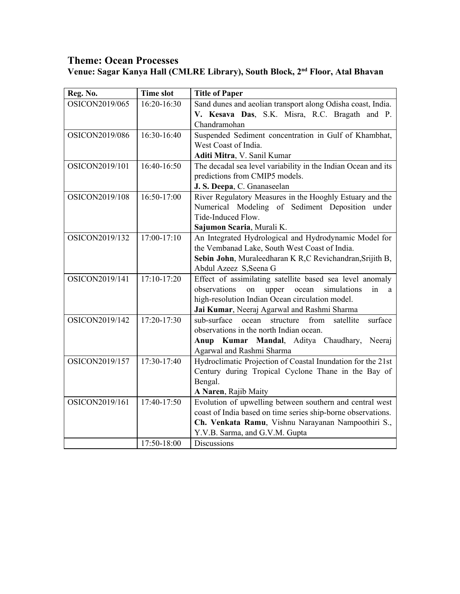## **Theme: Ocean Processes Venue: Sagar Kanya Hall (CMLRE Library), South Block, 2nd Floor, Atal Bhavan**

| Reg. No.       | <b>Time slot</b> | <b>Title of Paper</b>                                             |
|----------------|------------------|-------------------------------------------------------------------|
| OSICON2019/065 | 16:20-16:30      | Sand dunes and aeolian transport along Odisha coast, India.       |
|                |                  | V. Kesava Das, S.K. Misra, R.C. Bragath and P.                    |
|                |                  | Chandramohan                                                      |
| OSICON2019/086 | 16:30-16:40      | Suspended Sediment concentration in Gulf of Khambhat,             |
|                |                  | West Coast of India.                                              |
|                |                  | Aditi Mitra, V. Sanil Kumar                                       |
| OSICON2019/101 | 16:40-16:50      | The decadal sea level variability in the Indian Ocean and its     |
|                |                  | predictions from CMIP5 models.                                    |
|                |                  | J. S. Deepa, C. Gnanaseelan                                       |
| OSICON2019/108 | 16:50-17:00      | River Regulatory Measures in the Hooghly Estuary and the          |
|                |                  | Numerical Modeling of Sediment Deposition under                   |
|                |                  | Tide-Induced Flow.                                                |
|                |                  | Sajumon Scaria, Murali K.                                         |
| OSICON2019/132 | 17:00-17:10      | An Integrated Hydrological and Hydrodynamic Model for             |
|                |                  | the Vembanad Lake, South West Coast of India.                     |
|                |                  | Sebin John, Muraleedharan K R,C Revichandran, Srijith B,          |
|                |                  | Abdul Azeez S, Seena G                                            |
| OSICON2019/141 | 17:10-17:20      | Effect of assimilating satellite based sea level anomaly          |
|                |                  | observations<br>on<br>ocean<br>simulations<br>in<br>upper<br>a    |
|                |                  | high-resolution Indian Ocean circulation model.                   |
|                |                  | Jai Kumar, Neeraj Agarwal and Rashmi Sharma                       |
| OSICON2019/142 | 17:20-17:30      | sub-surface<br>from<br>satellite<br>ocean<br>surface<br>structure |
|                |                  | observations in the north Indian ocean.                           |
|                |                  | Kumar Mandal, Aditya Chaudhary,<br>Neeraj<br>Anup                 |
|                |                  | Agarwal and Rashmi Sharma                                         |
| OSICON2019/157 | 17:30-17:40      | Hydroclimatic Projection of Coastal Inundation for the 21st       |
|                |                  | Century during Tropical Cyclone Thane in the Bay of               |
|                |                  | Bengal.                                                           |
|                |                  | A Naren, Rajib Maity                                              |
| OSICON2019/161 | 17:40-17:50      | Evolution of upwelling between southern and central west          |
|                |                  | coast of India based on time series ship-borne observations.      |
|                |                  | Ch. Venkata Ramu, Vishnu Narayanan Nampoothiri S.,                |
|                |                  | Y.V.B. Sarma, and G.V.M. Gupta                                    |
|                | 17:50-18:00      | Discussions                                                       |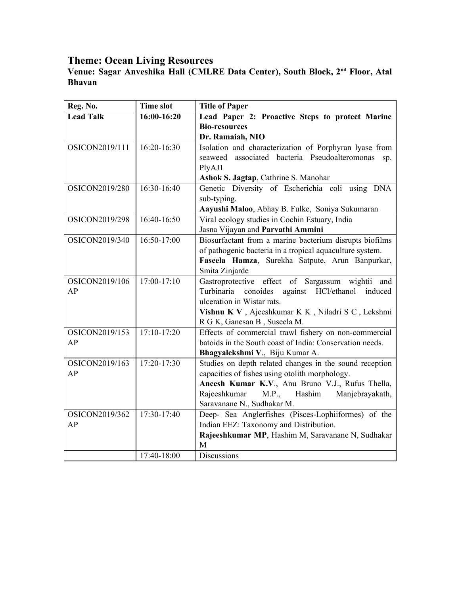#### **Venue: Sagar Anveshika Hall (CMLRE Data Center), South Block, 2 nd Floor, Atal Bhavan**

| Reg. No.         | <b>Time slot</b> | <b>Title of Paper</b>                                    |
|------------------|------------------|----------------------------------------------------------|
| <b>Lead Talk</b> | 16:00-16:20      | Lead Paper 2: Proactive Steps to protect Marine          |
|                  |                  | <b>Bio-resources</b>                                     |
|                  |                  | Dr. Ramaiah, NIO                                         |
| OSICON2019/111   | 16:20-16:30      | Isolation and characterization of Porphyran lyase from   |
|                  |                  | associated bacteria Pseudoalteromonas<br>seaweed<br>sp.  |
|                  |                  | PlyAJ1                                                   |
|                  |                  | Ashok S. Jagtap, Cathrine S. Manohar                     |
| OSICON2019/280   | 16:30-16:40      | Genetic Diversity of Escherichia coli using DNA          |
|                  |                  | sub-typing.                                              |
|                  |                  | Aayushi Maloo, Abhay B. Fulke, Soniya Sukumaran          |
| OSICON2019/298   | 16:40-16:50      | Viral ecology studies in Cochin Estuary, India           |
|                  |                  | Jasna Vijayan and Parvathi Ammini                        |
| OSICON2019/340   | 16:50-17:00      | Biosurfactant from a marine bacterium disrupts biofilms  |
|                  |                  | of pathogenic bacteria in a tropical aquaculture system. |
|                  |                  | Faseela Hamza, Surekha Satpute, Arun Banpurkar,          |
|                  |                  | Smita Zinjarde                                           |
| OSICON2019/106   | 17:00-17:10      | Gastroprotective effect of Sargassum wightii and         |
| AP               |                  | Turbinaria<br>conoides against HCl/ethanol<br>induced    |
|                  |                  | ulceration in Wistar rats.                               |
|                  |                  | Vishnu K V, Ajeeshkumar K K, Niladri S C, Lekshmi        |
|                  |                  | R G K, Ganesan B, Suseela M.                             |
| OSICON2019/153   | 17:10-17:20      | Effects of commercial trawl fishery on non-commercial    |
| AP               |                  | batoids in the South coast of India: Conservation needs. |
|                  |                  | Bhagyalekshmi V., Biju Kumar A.                          |
| OSICON2019/163   | 17:20-17:30      | Studies on depth related changes in the sound reception  |
| AP               |                  | capacities of fishes using otolith morphology.           |
|                  |                  | Aneesh Kumar K.V., Anu Bruno V.J., Rufus Thella,         |
|                  |                  | M.P., Hashim<br>Rajeeshkumar<br>Manjebrayakath,          |
|                  |                  | Saravanane N., Sudhakar M.                               |
| OSICON2019/362   | 17:30-17:40      | Deep- Sea Anglerfishes (Pisces-Lophiiformes) of the      |
| AP               |                  | Indian EEZ: Taxonomy and Distribution.                   |
|                  |                  | Rajeeshkumar MP, Hashim M, Saravanane N, Sudhakar        |
|                  |                  | M                                                        |
|                  | 17:40-18:00      | Discussions                                              |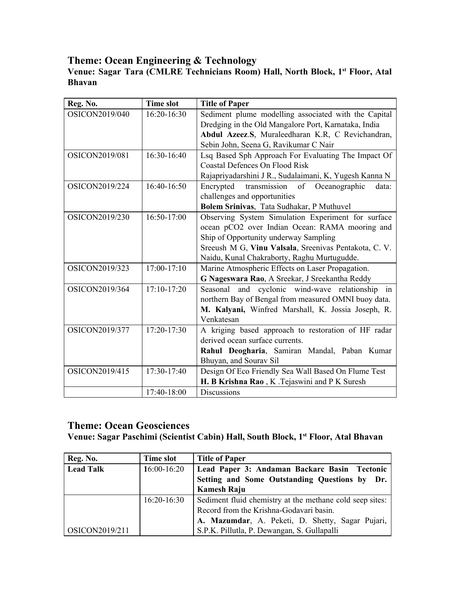## **Theme: Ocean Engineering & Technology**

#### **Venue: Sagar Tara (CMLRE Technicians Room) Hall, North Block, 1 st Floor, Atal Bhavan**

| Reg. No.       | <b>Time slot</b> | <b>Title of Paper</b>                                     |
|----------------|------------------|-----------------------------------------------------------|
| OSICON2019/040 | 16:20-16:30      | Sediment plume modelling associated with the Capital      |
|                |                  | Dredging in the Old Mangalore Port, Karnataka, India      |
|                |                  | Abdul Azeez.S, Muraleedharan K.R, C Revichandran,         |
|                |                  | Sebin John, Seena G, Ravikumar C Nair                     |
| OSICON2019/081 | 16:30-16:40      | Lsq Based Sph Approach For Evaluating The Impact Of       |
|                |                  | <b>Coastal Defences On Flood Risk</b>                     |
|                |                  | Rajapriyadarshini J R., Sudalaimani, K, Yugesh Kanna N    |
| OSICON2019/224 | 16:40-16:50      | Encrypted<br>transmission<br>of<br>Oceanographic<br>data: |
|                |                  | challenges and opportunities                              |
|                |                  | Bolem Srinivas, Tata Sudhakar, P Muthuvel                 |
| OSICON2019/230 | 16:50-17:00      | Observing System Simulation Experiment for surface        |
|                |                  | ocean pCO2 over Indian Ocean: RAMA mooring and            |
|                |                  | Ship of Opportunity underway Sampling                     |
|                |                  | Sreeush M G, Vinu Valsala, Sreenivas Pentakota, C. V.     |
|                |                  | Naidu, Kunal Chakraborty, Raghu Murtugudde.               |
| OSICON2019/323 | $17:00-17:10$    | Marine Atmospheric Effects on Laser Propagation.          |
|                |                  | G Nageswara Rao, A Sreekar, J Sreekantha Reddy            |
| OSICON2019/364 | $17:10-17:20$    | Seasonal and cyclonic wind-wave relationship<br>in        |
|                |                  | northern Bay of Bengal from measured OMNI buoy data.      |
|                |                  | M. Kalyani, Winfred Marshall, K. Jossia Joseph, R.        |
|                |                  | Venkatesan                                                |
| OSICON2019/377 | $17:20 - 17:30$  | A kriging based approach to restoration of HF radar       |
|                |                  | derived ocean surface currents.                           |
|                |                  | Rahul Deogharia, Samiran Mandal, Paban Kumar              |
|                |                  | Bhuyan, and Sourav Sil                                    |
| OSICON2019/415 | 17:30-17:40      | Design Of Eco Friendly Sea Wall Based On Flume Test       |
|                |                  | H. B Krishna Rao, K. Tejaswini and P K Suresh             |
|                | 17:40-18:00      | <b>Discussions</b>                                        |

#### **Theme: Ocean Geosciences**

#### **Venue: Sagar Paschimi (Scientist Cabin) Hall, South Block, 1st Floor, Atal Bhavan**

| Reg. No.         | Time slot     | <b>Title of Paper</b>                                    |
|------------------|---------------|----------------------------------------------------------|
| <b>Lead Talk</b> | $16:00-16:20$ | Lead Paper 3: Andaman Backarc Basin Tectonic             |
|                  |               | Setting and Some Outstanding Questions by Dr.            |
|                  |               | <b>Kamesh Raju</b>                                       |
|                  | $16:20-16:30$ | Sediment fluid chemistry at the methane cold seep sites: |
|                  |               | Record from the Krishna-Godavari basin.                  |
|                  |               | A. Mazumdar, A. Peketi, D. Shetty, Sagar Pujari,         |
| OSICON2019/211   |               | S.P.K. Pillutla, P. Dewangan, S. Gullapalli              |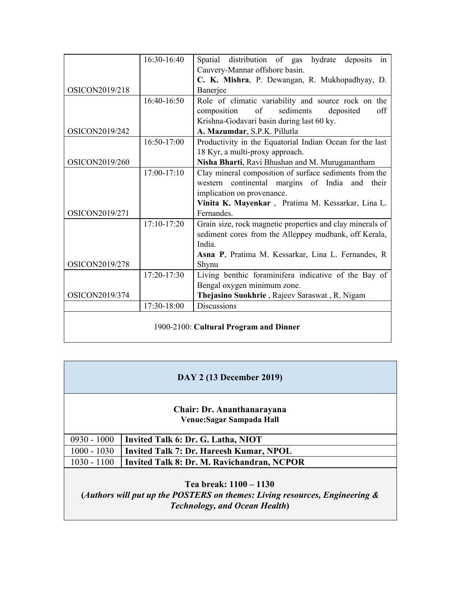|                       | 16:30-16:40   | Spatial distribution of gas hydrate deposits<br>in        |
|-----------------------|---------------|-----------------------------------------------------------|
|                       |               | Cauvery-Mannar offshore basin.                            |
|                       |               | C. K. Mishra, P. Dewangan, R. Mukhopadhyay, D.            |
| OSICON2019/218        |               | Banerjee                                                  |
|                       | 16:40-16:50   | Role of climatic variability and source rock on the       |
|                       |               | sediments<br>of<br>deposited<br>composition<br>off        |
|                       |               | Krishna-Godavari basin during last 60 ky.                 |
| OSICON2019/242        |               | A. Mazumdar, S.P.K. Pillutla                              |
|                       | 16:50-17:00   | Productivity in the Equatorial Indian Ocean for the last  |
|                       |               | 18 Kyr, a multi-proxy approach.                           |
| OSICON2019/260        |               | Nisha Bharti, Ravi Bhushan and M. Muruganantham           |
|                       | $17:00-17:10$ | Clay mineral composition of surface sediments from the    |
|                       |               | western continental margins of India and their            |
|                       |               | implication on provenance.                                |
|                       |               | Vinita K. Mayenkar, Pratima M. Kessarkar, Lina L.         |
| OSICON2019/271        |               | Fernandes.                                                |
|                       | $17:10-17:20$ | Grain size, rock magnetic properties and clay minerals of |
|                       |               | sediment cores from the Alleppey mudbank, off Kerala,     |
|                       |               | India.                                                    |
|                       |               | Asna P, Pratima M. Kessarkar, Lina L. Fernandes, R        |
| <b>OSICON2019/278</b> |               | Shynu                                                     |
|                       | 17:20-17:30   | Living benthic foraminifera indicative of the Bay of      |
|                       |               | Bengal oxygen minimum zone.                               |
| OSICON2019/374        |               | Thejasino Suokhrie, Rajeev Saraswat, R. Nigam             |
|                       | 17:30-18:00   | <b>Discussions</b>                                        |
|                       |               |                                                           |
|                       |               | 1900-2100: Cultural Program and Dinner                    |

| <b>DAY 2 (13 December 2019)</b>                                                                                                               |                                                |  |
|-----------------------------------------------------------------------------------------------------------------------------------------------|------------------------------------------------|--|
| Chair: Dr. Ananthanarayana<br>Venue: Sagar Sampada Hall                                                                                       |                                                |  |
| $0930 - 1000$                                                                                                                                 | Invited Talk 6: Dr. G. Latha, NIOT             |  |
| $1000 - 1030$                                                                                                                                 | <b>Invited Talk 7: Dr. Hareesh Kumar, NPOL</b> |  |
| $1030 - 1100$                                                                                                                                 | Invited Talk 8: Dr. M. Ravichandran, NCPOR     |  |
| Tea break: 1100 – 1130<br>(Authors will put up the POSTERS on themes: Living resources, Engineering &<br><b>Technology, and Ocean Health)</b> |                                                |  |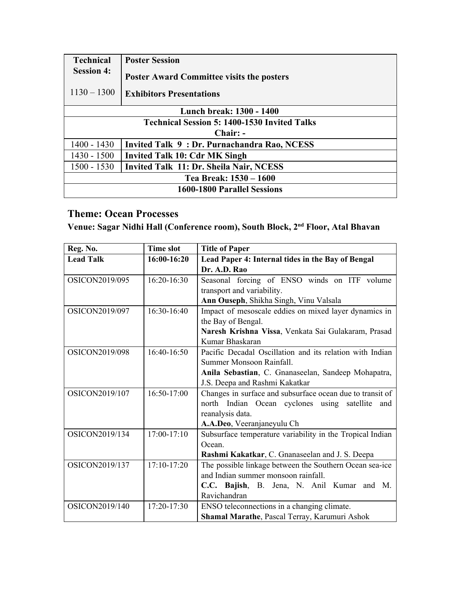| <b>Technical</b>                                    | <b>Poster Session</b>                            |  |  |  |
|-----------------------------------------------------|--------------------------------------------------|--|--|--|
| <b>Session 4:</b>                                   | <b>Poster Award Committee visits the posters</b> |  |  |  |
| $1130 - 1300$                                       | <b>Exhibitors Presentations</b>                  |  |  |  |
|                                                     | Lunch break: 1300 - 1400                         |  |  |  |
| <b>Technical Session 5: 1400-1530 Invited Talks</b> |                                                  |  |  |  |
| Chair: -                                            |                                                  |  |  |  |
| $1400 - 1430$                                       | Invited Talk 9: Dr. Purnachandra Rao, NCESS      |  |  |  |
| $1430 - 1500$                                       | <b>Invited Talk 10: Cdr MK Singh</b>             |  |  |  |
| $1500 - 1530$                                       | Invited Talk 11: Dr. Sheila Nair, NCESS          |  |  |  |
| Tea Break: 1530 – 1600                              |                                                  |  |  |  |
| 1600-1800 Parallel Sessions                         |                                                  |  |  |  |

## **Theme: Ocean Processes**

**Venue: Sagar Nidhi Hall (Conference room), South Block, 2nd Floor, Atal Bhavan**

| Reg. No.              | <b>Time slot</b> | <b>Title of Paper</b>                                     |
|-----------------------|------------------|-----------------------------------------------------------|
| <b>Lead Talk</b>      | 16:00-16:20      | Lead Paper 4: Internal tides in the Bay of Bengal         |
|                       |                  | Dr. A.D. Rao                                              |
| OSICON2019/095        | $16:20-16:30$    | Seasonal forcing of ENSO winds on ITF volume              |
|                       |                  | transport and variability.                                |
|                       |                  | Ann Ouseph, Shikha Singh, Vinu Valsala                    |
| OSICON2019/097        | 16:30-16:40      | Impact of mesoscale eddies on mixed layer dynamics in     |
|                       |                  | the Bay of Bengal.                                        |
|                       |                  | Naresh Krishna Vissa, Venkata Sai Gulakaram, Prasad       |
|                       |                  | Kumar Bhaskaran                                           |
| <b>OSICON2019/098</b> | $16:40-16:50$    | Pacific Decadal Oscillation and its relation with Indian  |
|                       |                  | Summer Monsoon Rainfall.                                  |
|                       |                  | Anila Sebastian, C. Gnanaseelan, Sandeep Mohapatra,       |
|                       |                  | J.S. Deepa and Rashmi Kakatkar                            |
| OSICON2019/107        | $16:50-17:00$    | Changes in surface and subsurface ocean due to transit of |
|                       |                  | north Indian Ocean cyclones using satellite<br>and        |
|                       |                  | reanalysis data.                                          |
|                       |                  | A.A.Deo, Veeranjaneyulu Ch                                |
| OSICON2019/134        | $17:00-17:10$    | Subsurface temperature variability in the Tropical Indian |
|                       |                  | Ocean.                                                    |
|                       |                  | Rashmi Kakatkar, C. Gnanaseelan and J. S. Deepa           |
| OSICON2019/137        | $17:10-17:20$    | The possible linkage between the Southern Ocean sea-ice   |
|                       |                  | and Indian summer monsoon rainfall.                       |
|                       |                  | C.C. Bajish, B. Jena, N. Anil Kumar and M.                |
|                       |                  | Ravichandran                                              |
| OSICON2019/140        | 17:20-17:30      | ENSO teleconnections in a changing climate.               |
|                       |                  | Shamal Marathe, Pascal Terray, Karumuri Ashok             |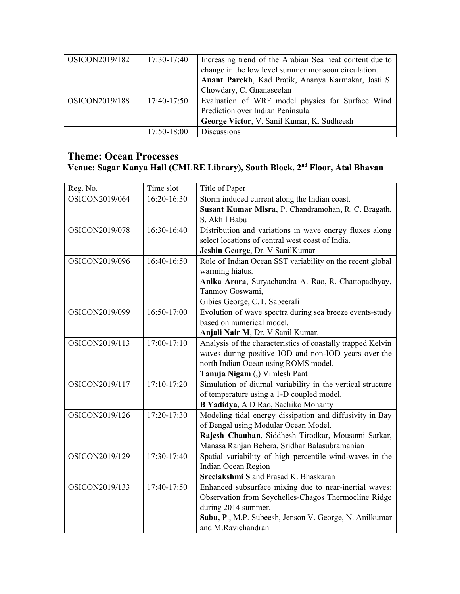| OSICON2019/182 | $17:30-17:40$ | Increasing trend of the Arabian Sea heat content due to<br>change in the low level summer monsoon circulation.<br>Anant Parekh, Kad Pratik, Ananya Karmakar, Jasti S.<br>Chowdary, C. Gnanaseelan |
|----------------|---------------|---------------------------------------------------------------------------------------------------------------------------------------------------------------------------------------------------|
| OSICON2019/188 | $17:40-17:50$ | Evaluation of WRF model physics for Surface Wind<br>Prediction over Indian Peninsula.<br>George Victor, V. Sanil Kumar, K. Sudheesh                                                               |
|                | 17:50-18:00   | <b>Discussions</b>                                                                                                                                                                                |

## **Theme: Ocean Processes**

#### **Venue: Sagar Kanya Hall (CMLRE Library), South Block, 2nd Floor, Atal Bhavan**

| Reg. No.       | Time slot       | Title of Paper                                              |
|----------------|-----------------|-------------------------------------------------------------|
| OSICON2019/064 | 16:20-16:30     | Storm induced current along the Indian coast.               |
|                |                 | Susant Kumar Misra, P. Chandramohan, R. C. Bragath,         |
|                |                 | S. Akhil Babu                                               |
| OSICON2019/078 | 16:30-16:40     | Distribution and variations in wave energy fluxes along     |
|                |                 | select locations of central west coast of India.            |
|                |                 | Jesbin George, Dr. V SanilKumar                             |
| OSICON2019/096 | 16:40-16:50     | Role of Indian Ocean SST variability on the recent global   |
|                |                 | warming hiatus.                                             |
|                |                 | Anika Arora, Suryachandra A. Rao, R. Chattopadhyay,         |
|                |                 | Tanmoy Goswami,                                             |
|                |                 | Gibies George, C.T. Sabeerali                               |
| OSICON2019/099 | 16:50-17:00     | Evolution of wave spectra during sea breeze events-study    |
|                |                 | based on numerical model.                                   |
|                |                 | Anjali Nair M, Dr. V Sanil Kumar.                           |
| OSICON2019/113 | $17:00-17:10$   | Analysis of the characteristics of coastally trapped Kelvin |
|                |                 | waves during positive IOD and non-IOD years over the        |
|                |                 | north Indian Ocean using ROMS model.                        |
|                |                 | Tanuja Nigam (,) Vimlesh Pant                               |
| OSICON2019/117 | $17:10-17:20$   | Simulation of diurnal variability in the vertical structure |
|                |                 | of temperature using a 1-D coupled model.                   |
|                |                 | B Yadidya, A D Rao, Sachiko Mohanty                         |
| OSICON2019/126 | $17:20 - 17:30$ | Modeling tidal energy dissipation and diffusivity in Bay    |
|                |                 | of Bengal using Modular Ocean Model.                        |
|                |                 | Rajesh Chauhan, Siddhesh Tirodkar, Mousumi Sarkar,          |
|                |                 | Manasa Ranjan Behera, Sridhar Balasubramanian               |
| OSICON2019/129 | 17:30-17:40     | Spatial variability of high percentile wind-waves in the    |
|                |                 | Indian Ocean Region                                         |
|                |                 | Sreelakshmi S and Prasad K. Bhaskaran                       |
| OSICON2019/133 | 17:40-17:50     | Enhanced subsurface mixing due to near-inertial waves:      |
|                |                 | Observation from Seychelles-Chagos Thermocline Ridge        |
|                |                 | during 2014 summer.                                         |
|                |                 | Sabu, P., M.P. Subeesh, Jenson V. George, N. Anilkumar      |
|                |                 | and M.Ravichandran                                          |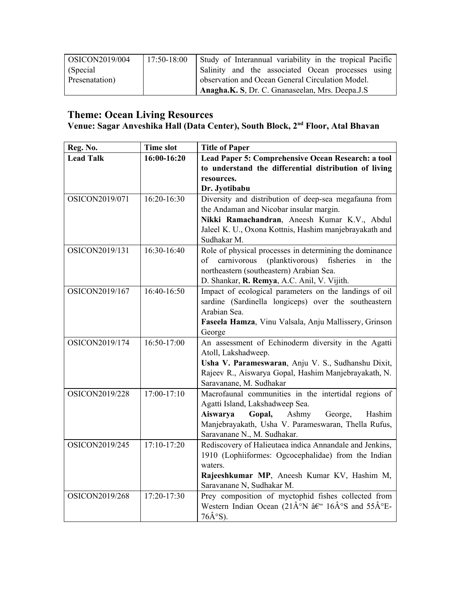| $\sim$ OSICON2019/004 | $17:50-18:00$ | Study of Interannual variability in the tropical Pacific |
|-----------------------|---------------|----------------------------------------------------------|
| (Special)             |               | Salinity and the associated Ocean processes using        |
| Presenatation)        |               | observation and Ocean General Circulation Model.         |
|                       |               | Anagha.K. S, Dr. C. Gnanaseelan, Mrs. Deepa.J.S          |

#### **Venue: Sagar Anveshika Hall (Data Center), South Block, 2nd Floor, Atal Bhavan**

| Reg. No.         | <b>Time slot</b> | <b>Title of Paper</b>                                                                                                         |
|------------------|------------------|-------------------------------------------------------------------------------------------------------------------------------|
| <b>Lead Talk</b> | 16:00-16:20      | Lead Paper 5: Comprehensive Ocean Research: a tool                                                                            |
|                  |                  | to understand the differential distribution of living                                                                         |
|                  |                  | resources.                                                                                                                    |
|                  |                  | Dr. Jyotibabu                                                                                                                 |
| OSICON2019/071   | 16:20-16:30      | Diversity and distribution of deep-sea megafauna from                                                                         |
|                  |                  | the Andaman and Nicobar insular margin.                                                                                       |
|                  |                  | Nikki Ramachandran, Aneesh Kumar K.V., Abdul                                                                                  |
|                  |                  | Jaleel K. U., Oxona Kottnis, Hashim manjebrayakath and                                                                        |
|                  |                  | Sudhakar M.                                                                                                                   |
| OSICON2019/131   | 16:30-16:40      | Role of physical processes in determining the dominance                                                                       |
|                  |                  | (planktivorous)<br>fisheries<br>carnivorous<br>in<br>of<br>the                                                                |
|                  |                  | northeastern (southeastern) Arabian Sea.                                                                                      |
|                  |                  | D. Shankar, R. Remya, A.C. Anil, V. Vijith.                                                                                   |
| OSICON2019/167   | 16:40-16:50      | Impact of ecological parameters on the landings of oil                                                                        |
|                  |                  | sardine (Sardinella longiceps) over the southeastern                                                                          |
|                  |                  | Arabian Sea.                                                                                                                  |
|                  |                  | Faseela Hamza, Vinu Valsala, Anju Mallissery, Grinson                                                                         |
|                  |                  | George                                                                                                                        |
| OSICON2019/174   | 16:50-17:00      | An assessment of Echinoderm diversity in the Agatti                                                                           |
|                  |                  | Atoll, Lakshadweep.                                                                                                           |
|                  |                  | Usha V. Parameswaran, Anju V. S., Sudhanshu Dixit,                                                                            |
|                  |                  | Rajeev R., Aiswarya Gopal, Hashim Manjebrayakath, N.                                                                          |
|                  |                  | Saravanane, M. Sudhakar                                                                                                       |
| OSICON2019/228   | $17:00-17:10$    | Macrofaunal communities in the intertidal regions of                                                                          |
|                  |                  | Agatti Island, Lakshadweep Sea.                                                                                               |
|                  |                  | Ashmy<br>Aiswarya<br>Gopal,<br>George,<br>Hashim                                                                              |
|                  |                  | Manjebrayakath, Usha V. Parameswaran, Thella Rufus,                                                                           |
|                  |                  | Saravanane N., M. Sudhakar.                                                                                                   |
| OSICON2019/245   | 17:10-17:20      | Rediscovery of Halieutaea indica Annandale and Jenkins,                                                                       |
|                  |                  | 1910 (Lophiiformes: Ogcocephalidae) from the Indian                                                                           |
|                  |                  | waters.                                                                                                                       |
|                  |                  | Rajeeshkumar MP, Aneesh Kumar KV, Hashim M,                                                                                   |
|                  |                  | Saravanane N, Sudhakar M.                                                                                                     |
| OSICON2019/268   | 17:20-17:30      | Prey composition of myctophid fishes collected from                                                                           |
|                  |                  | Western Indian Ocean (21 $\hat{A}^{\circ}N$ $\hat{a}\hat{\epsilon}^{\circ}$ 16 $\hat{A}^{\circ}S$ and 55 $\hat{A}^{\circ}E$ - |
|                  |                  | $76\hat{A}^{\circ}S$ ).                                                                                                       |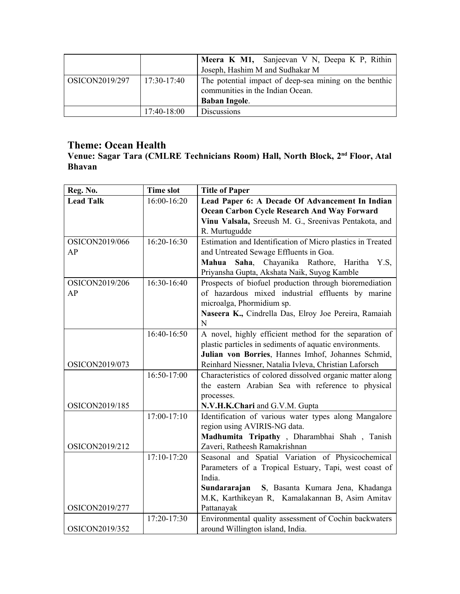|                |               | Meera K M1, Sanjeevan V N, Deepa K P, Rithin<br>Joseph, Hashim M and Sudhakar M                                    |
|----------------|---------------|--------------------------------------------------------------------------------------------------------------------|
| OSICON2019/297 | 17:30-17:40   | The potential impact of deep-sea mining on the benthic<br>communities in the Indian Ocean.<br><b>Baban Ingole.</b> |
|                | $17:40-18:00$ | <b>Discussions</b>                                                                                                 |

## **Theme: Ocean Health**

**Venue: Sagar Tara (CMLRE Technicians Room) Hall, North Block, 2 nd Floor, Atal Bhavan**

| Reg. No.         | <b>Time slot</b> | <b>Title of Paper</b>                                      |
|------------------|------------------|------------------------------------------------------------|
| <b>Lead Talk</b> | 16:00-16:20      | Lead Paper 6: A Decade Of Advancement In Indian            |
|                  |                  | <b>Ocean Carbon Cycle Research And Way Forward</b>         |
|                  |                  | Vinu Valsala, Sreeush M. G., Sreenivas Pentakota, and      |
|                  |                  | R. Murtugudde                                              |
| OSICON2019/066   | 16:20-16:30      | Estimation and Identification of Micro plastics in Treated |
| AP               |                  | and Untreated Sewage Effluents in Goa.                     |
|                  |                  | Mahua Saha, Chayanika Rathore, Haritha<br>Y.S.             |
|                  |                  | Priyansha Gupta, Akshata Naik, Suyog Kamble                |
| OSICON2019/206   | 16:30-16:40      | Prospects of biofuel production through bioremediation     |
| AP               |                  | of hazardous mixed industrial effluents by marine          |
|                  |                  | microalga, Phormidium sp.                                  |
|                  |                  | Naseera K., Cindrella Das, Elroy Joe Pereira, Ramaiah      |
|                  |                  | $\mathbf N$                                                |
|                  | 16:40-16:50      | A novel, highly efficient method for the separation of     |
|                  |                  | plastic particles in sediments of aquatic environments.    |
|                  |                  | Julian von Borries, Hannes Imhof, Johannes Schmid,         |
| OSICON2019/073   |                  | Reinhard Niessner, Natalia Ivleva, Christian Laforsch      |
|                  | 16:50-17:00      | Characteristics of colored dissolved organic matter along  |
|                  |                  | the eastern Arabian Sea with reference to physical         |
| OSICON2019/185   |                  | processes.<br>N.V.H.K.Chari and G.V.M. Gupta               |
|                  | $17:00-17:10$    | Identification of various water types along Mangalore      |
|                  |                  | region using AVIRIS-NG data.                               |
|                  |                  | Madhumita Tripathy, Dharambhai Shah, Tanish                |
| OSICON2019/212   |                  | Zaveri, Ratheesh Ramakrishnan                              |
|                  | $17:10-17:20$    | Seasonal and Spatial Variation of Physicochemical          |
|                  |                  | Parameters of a Tropical Estuary, Tapi, west coast of      |
|                  |                  | India.                                                     |
|                  |                  | S, Basanta Kumara Jena, Khadanga<br>Sundararajan           |
|                  |                  | M.K, Karthikeyan R, Kamalakannan B, Asim Amitav            |
| OSICON2019/277   |                  | Pattanayak                                                 |
|                  | 17:20-17:30      | Environmental quality assessment of Cochin backwaters      |
| OSICON2019/352   |                  | around Willington island, India.                           |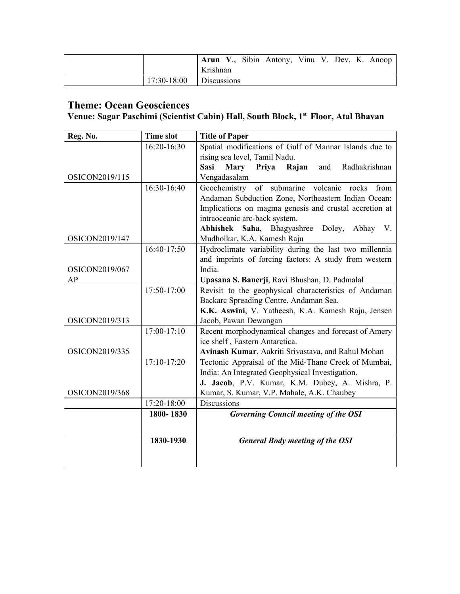|                                  | <b>Arun V., Sibin Antony, Vinu V. Dev, K. Anoop</b><br>Krishnan |  |  |  |  |
|----------------------------------|-----------------------------------------------------------------|--|--|--|--|
| $\vert$ 17:30-18:00  Discussions |                                                                 |  |  |  |  |

### **Theme: Ocean Geosciences**

#### **Venue: Sagar Paschimi (Scientist Cabin) Hall, South Block, 1st Floor, Atal Bhavan**

| Reg. No.       | <b>Time slot</b> | <b>Title of Paper</b>                                                |
|----------------|------------------|----------------------------------------------------------------------|
|                | 16:20-16:30      | Spatial modifications of Gulf of Mannar Islands due to               |
|                |                  | rising sea level, Tamil Nadu.                                        |
|                |                  | <b>Mary</b><br><b>Sasi</b><br>Priya<br>Rajan<br>Radhakrishnan<br>and |
| OSICON2019/115 |                  | Vengadasalam                                                         |
|                | 16:30-16:40      | Geochemistry of submarine volcanic rocks<br>from                     |
|                |                  | Andaman Subduction Zone, Northeastern Indian Ocean:                  |
|                |                  | Implications on magma genesis and crustal accretion at               |
|                |                  | intraoceanic arc-back system.                                        |
|                |                  | Abhishek<br>Saha, Bhagyashree Doley,<br>Abhay V.                     |
| OSICON2019/147 |                  | Mudholkar, K.A. Kamesh Raju                                          |
|                | 16:40-17:50      | Hydroclimate variability during the last two millennia               |
|                |                  | and imprints of forcing factors: A study from western                |
| OSICON2019/067 |                  | India.                                                               |
| AP             |                  | Upasana S. Banerji, Ravi Bhushan, D. Padmalal                        |
|                | 17:50-17:00      | Revisit to the geophysical characteristics of Andaman                |
|                |                  | Backarc Spreading Centre, Andaman Sea.                               |
|                |                  | K.K. Aswini, V. Yatheesh, K.A. Kamesh Raju, Jensen                   |
| OSICON2019/313 |                  | Jacob, Pawan Dewangan                                                |
|                | $17:00-17:10$    | Recent morphodynamical changes and forecast of Amery                 |
|                |                  | ice shelf, Eastern Antarctica.                                       |
| OSICON2019/335 |                  | Avinash Kumar, Aakriti Srivastava, and Rahul Mohan                   |
|                | $17:10-17:20$    | Tectonic Appraisal of the Mid-Thane Creek of Mumbai,                 |
|                |                  | India: An Integrated Geophysical Investigation.                      |
|                |                  | J. Jacob, P.V. Kumar, K.M. Dubey, A. Mishra, P.                      |
| OSICON2019/368 |                  | Kumar, S. Kumar, V.P. Mahale, A.K. Chaubey                           |
|                | 17:20-18:00      | <b>Discussions</b>                                                   |
|                | 1800-1830        | <b>Governing Council meeting of the OSI</b>                          |
|                |                  |                                                                      |
|                | 1830-1930        | <b>General Body meeting of the OSI</b>                               |
|                |                  |                                                                      |
|                |                  |                                                                      |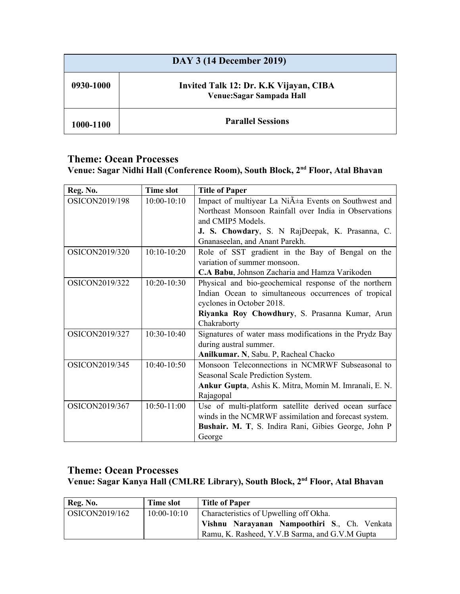| <b>DAY 3 (14 December 2019)</b> |                                                                     |  |  |
|---------------------------------|---------------------------------------------------------------------|--|--|
| 0930-1000                       | Invited Talk 12: Dr. K.K Vijayan, CIBA<br>Venue: Sagar Sampada Hall |  |  |
| 1000-1100                       | <b>Parallel Sessions</b>                                            |  |  |

#### **Theme: Ocean Processes Venue: Sagar Nidhi Hall (Conference Room), South Block, 2nd Floor, Atal Bhavan**

| Reg. No.              | <b>Time slot</b> | <b>Title of Paper</b>                                            |
|-----------------------|------------------|------------------------------------------------------------------|
| OSICON2019/198        | $10:00-10:10$    | Impact of multiyear La Ni $\tilde{A}$ ±a Events on Southwest and |
|                       |                  | Northeast Monsoon Rainfall over India in Observations            |
|                       |                  | and CMIP5 Models.                                                |
|                       |                  | J. S. Chowdary, S. N RajDeepak, K. Prasanna, C.                  |
|                       |                  | Gnanaseelan, and Anant Parekh.                                   |
| OSICON2019/320        | $10:10-10:20$    | Role of SST gradient in the Bay of Bengal on the                 |
|                       |                  | variation of summer monsoon.                                     |
|                       |                  | C.A Babu, Johnson Zacharia and Hamza Varikoden                   |
| OSICON2019/322        | $10:20-10:30$    | Physical and bio-geochemical response of the northern            |
|                       |                  | Indian Ocean to simultaneous occurrences of tropical             |
|                       |                  | cyclones in October 2018.                                        |
|                       |                  | Riyanka Roy Chowdhury, S. Prasanna Kumar, Arun                   |
|                       |                  | Chakraborty                                                      |
| <b>OSICON2019/327</b> | $10:30-10:40$    | Signatures of water mass modifications in the Prydz Bay          |
|                       |                  | during austral summer.                                           |
|                       |                  | Anilkumar. N, Sabu. P, Racheal Chacko                            |
| OSICON2019/345        | $10:40-10:50$    | Monsoon Teleconnections in NCMRWF Subseasonal to                 |
|                       |                  | Seasonal Scale Prediction System.                                |
|                       |                  | Ankur Gupta, Ashis K. Mitra, Momin M. Imranali, E. N.            |
|                       |                  | Rajagopal                                                        |
| OSICON2019/367        | 10:50-11:00      | Use of multi-platform satellite derived ocean surface            |
|                       |                  | winds in the NCMRWF assimilation and forecast system.            |
|                       |                  | Bushair. M. T. S. Indira Rani, Gibies George, John P             |
|                       |                  | George                                                           |

#### **Theme: Ocean Processes Venue: Sagar Kanya Hall (CMLRE Library), South Block, 2nd Floor, Atal Bhavan**

| Reg. No.              | Time slot     | <b>Title of Paper</b>                          |
|-----------------------|---------------|------------------------------------------------|
| $\sim$ OSICON2019/162 | $10:00-10:10$ | Characteristics of Upwelling off Okha.         |
|                       |               | Vishnu Narayanan Nampoothiri S., Ch. Venkata   |
|                       |               | Ramu, K. Rasheed, Y.V.B Sarma, and G.V.M Gupta |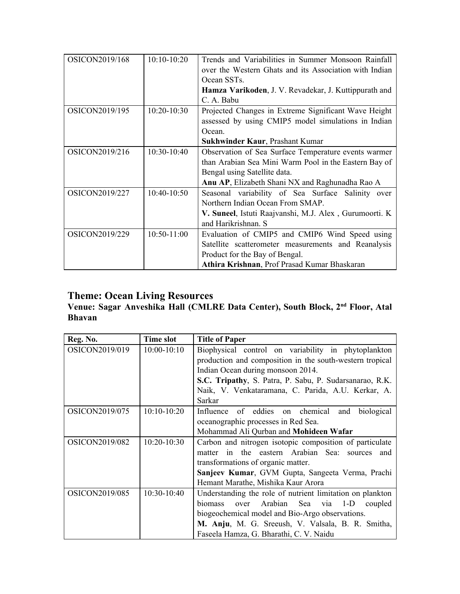| OSICON2019/168 | $10:10-10:20$ | Trends and Variabilities in Summer Monsoon Rainfall<br>over the Western Ghats and its Association with Indian<br>Ocean SST <sub>s</sub> .<br><b>Hamza Varikoden, J. V. Revadekar, J. Kuttippurath and</b> |
|----------------|---------------|-----------------------------------------------------------------------------------------------------------------------------------------------------------------------------------------------------------|
|                |               | C. A. Babu                                                                                                                                                                                                |
| OSICON2019/195 | $10:20-10:30$ | Projected Changes in Extreme Significant Wave Height<br>assessed by using CMIP5 model simulations in Indian<br>Ocean.                                                                                     |
|                |               | <b>Sukhwinder Kaur, Prashant Kumar</b>                                                                                                                                                                    |
| OSICON2019/216 | $10:30-10:40$ | Observation of Sea Surface Temperature events warmer<br>than Arabian Sea Mini Warm Pool in the Eastern Bay of<br>Bengal using Satellite data.<br>Anu AP, Elizabeth Shani NX and Raghunadha Rao A          |
| OSICON2019/227 | $10:40-10:50$ | Seasonal variability of Sea Surface Salinity over<br>Northern Indian Ocean From SMAP.<br>V. Suneel, Istuti Raajvanshi, M.J. Alex, Gurumoorti. K<br>and Harikrishnan. S                                    |
| OSICON2019/229 | $10:50-11:00$ | Evaluation of CMIP5 and CMIP6 Wind Speed using<br>Satellite scatterometer measurements and Reanalysis<br>Product for the Bay of Bengal.<br>Athira Krishnan, Prof Prasad Kumar Bhaskaran                   |

#### **Venue: Sagar Anveshika Hall (CMLRE Data Center), South Block, 2 nd Floor, Atal Bhavan**

| Reg. No.              | <b>Time slot</b> | <b>Title of Paper</b>                                     |
|-----------------------|------------------|-----------------------------------------------------------|
| OSICON2019/019        | $10:00 - 10:10$  | Biophysical control on variability in phytoplankton       |
|                       |                  | production and composition in the south-western tropical  |
|                       |                  | Indian Ocean during monsoon 2014.                         |
|                       |                  | S.C. Tripathy, S. Patra, P. Sabu, P. Sudarsanarao, R.K.   |
|                       |                  | Naik, V. Venkataramana, C. Parida, A.U. Kerkar, A.        |
|                       |                  | Sarkar                                                    |
| OSICON2019/075        | $10:10-10:20$    | Influence of eddies on chemical<br>biological<br>and      |
|                       |                  | oceanographic processes in Red Sea.                       |
|                       |                  | Mohammad Ali Qurban and Mohideen Wafar                    |
| <b>OSICON2019/082</b> | $10:20-10:30$    | Carbon and nitrogen isotopic composition of particulate   |
|                       |                  | in the eastern Arabian Sea: sources<br>and<br>matter      |
|                       |                  | transformations of organic matter.                        |
|                       |                  | Sanjeev Kumar, GVM Gupta, Sangeeta Verma, Prachi          |
|                       |                  | Hemant Marathe, Mishika Kaur Arora                        |
| OSICON2019/085        | $10:30-10:40$    | Understanding the role of nutrient limitation on plankton |
|                       |                  | Arabian Sea<br>biomass<br>via<br>$1-D$<br>over<br>coupled |
|                       |                  | biogeochemical model and Bio-Argo observations.           |
|                       |                  | M. Anju, M. G. Sreeush, V. Valsala, B. R. Smitha,         |
|                       |                  | Faseela Hamza, G. Bharathi, C. V. Naidu                   |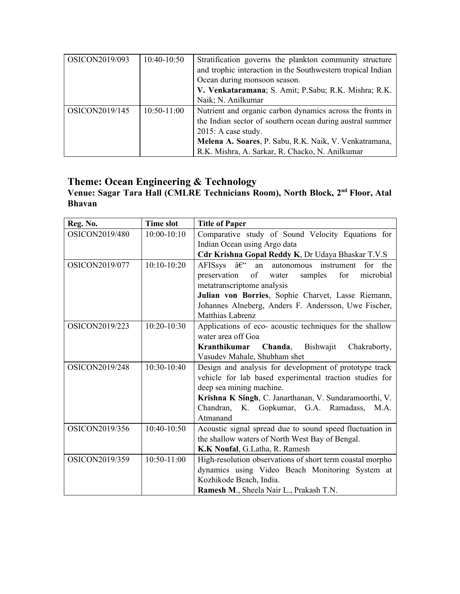| OSICON2019/093 | $10:40-10:50$ | Stratification governs the plankton community structure     |
|----------------|---------------|-------------------------------------------------------------|
|                |               | and trophic interaction in the Southwestern tropical Indian |
|                |               | Ocean during monsoon season.                                |
|                |               | V. Venkataramana; S. Amit; P. Sabu; R.K. Mishra; R.K.       |
|                |               | Naik; N. Anilkumar                                          |
| OSICON2019/145 | $10:50-11:00$ | Nutrient and organic carbon dynamics across the fronts in   |
|                |               | the Indian sector of southern ocean during austral summer   |
|                |               | $2015$ : A case study.                                      |
|                |               | Melena A. Soares, P. Sabu, R.K. Naik, V. Venkatramana,      |
|                |               | R.K. Mishra, A. Sarkar, R. Chacko, N. Anilkumar             |

## **Theme: Ocean Engineering & Technology**

#### **Venue: Sagar Tara Hall (CMLRE Technicians Room), North Block, 2 nd Floor, Atal Bhavan**

| Reg. No.              | <b>Time slot</b> | <b>Title of Paper</b>                                     |
|-----------------------|------------------|-----------------------------------------------------------|
| OSICON2019/480        | $10:00-10:10$    | Comparative study of Sound Velocity Equations for         |
|                       |                  | Indian Ocean using Argo data                              |
|                       |                  | Cdr Krishna Gopal Reddy K, Dr Udaya Bhaskar T.V.S         |
| <b>OSICON2019/077</b> | $10:10-10:20$    | AFISsys –<br>an autonomous instrument<br>for the          |
|                       |                  | preservation<br>samples<br>microbial<br>of water<br>for   |
|                       |                  | metatranscriptome analysis                                |
|                       |                  | Julian von Borries, Sophie Charvet, Lasse Riemann,        |
|                       |                  | Johannes Alneberg, Anders F. Andersson, Uwe Fischer,      |
|                       |                  | Matthias Labrenz                                          |
| OSICON2019/223        | 10:20-10:30      | Applications of eco- acoustic techniques for the shallow  |
|                       |                  | water area off Goa                                        |
|                       |                  | Kranthikumar Chanda,<br>Bishwajit<br>Chakraborty,         |
|                       |                  | Vasudev Mahale, Shubham shet                              |
| OSICON2019/248        | $10:30-10:40$    | Design and analysis for development of prototype track    |
|                       |                  | vehicle for lab based experimental traction studies for   |
|                       |                  | deep sea mining machine.                                  |
|                       |                  | Krishna K Singh, C. Janarthanan, V. Sundaramoorthi, V.    |
|                       |                  | Chandran, K. Gopkumar, G.A. Ramadass, M.A.                |
|                       |                  | Atmanand                                                  |
| OSICON2019/356        | 10:40-10:50      | Acoustic signal spread due to sound speed fluctuation in  |
|                       |                  | the shallow waters of North West Bay of Bengal.           |
|                       |                  | K.K Noufal, G.Latha, R. Ramesh                            |
| OSICON2019/359        | $10:50-11:00$    | High-resolution observations of short term coastal morpho |
|                       |                  | dynamics using Video Beach Monitoring System at           |
|                       |                  | Kozhikode Beach, India.                                   |
|                       |                  | Ramesh M., Sheela Nair L., Prakash T.N.                   |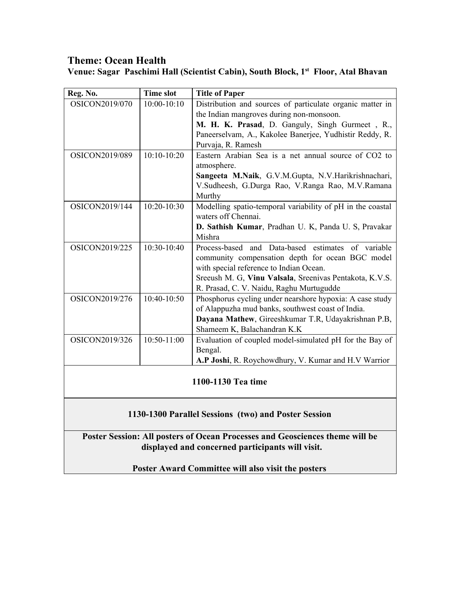## **Theme: Ocean Health**

**Venue: Sagar Paschimi Hall (Scientist Cabin), South Block, 1st Floor, Atal Bhavan**

| Reg. No.                                                                     | <b>Time slot</b> | <b>Title of Paper</b>                                                                                 |  |  |
|------------------------------------------------------------------------------|------------------|-------------------------------------------------------------------------------------------------------|--|--|
| OSICON2019/070                                                               | $10:00-10:10$    | Distribution and sources of particulate organic matter in<br>the Indian mangroves during non-monsoon. |  |  |
|                                                                              |                  | M. H. K. Prasad, D. Ganguly, Singh Gurmeet, R.,                                                       |  |  |
|                                                                              |                  | Paneerselvam, A., Kakolee Banerjee, Yudhistir Reddy, R.                                               |  |  |
|                                                                              |                  | Purvaja, R. Ramesh                                                                                    |  |  |
| OSICON2019/089                                                               | $10:10-10:20$    | Eastern Arabian Sea is a net annual source of CO2 to<br>atmosphere.                                   |  |  |
|                                                                              |                  | Sangeeta M.Naik, G.V.M.Gupta, N.V.Harikrishnachari,                                                   |  |  |
|                                                                              |                  | V.Sudheesh, G.Durga Rao, V.Ranga Rao, M.V.Ramana<br>Murthy                                            |  |  |
| OSICON2019/144                                                               | $10:20 - 10:30$  | Modelling spatio-temporal variability of pH in the coastal<br>waters off Chennai.                     |  |  |
|                                                                              |                  | D. Sathish Kumar, Pradhan U. K, Panda U. S, Pravakar                                                  |  |  |
|                                                                              |                  | Mishra                                                                                                |  |  |
| OSICON2019/225                                                               | 10:30-10:40      | Process-based and Data-based estimates of variable                                                    |  |  |
|                                                                              |                  | community compensation depth for ocean BGC model                                                      |  |  |
|                                                                              |                  | with special reference to Indian Ocean.                                                               |  |  |
|                                                                              |                  | Sreeush M. G, Vinu Valsala, Sreenivas Pentakota, K.V.S.<br>R. Prasad, C. V. Naidu, Raghu Murtugudde   |  |  |
| OSICON2019/276                                                               | 10:40-10:50      | Phosphorus cycling under nearshore hypoxia: A case study                                              |  |  |
|                                                                              |                  | of Alappuzha mud banks, southwest coast of India.                                                     |  |  |
|                                                                              |                  | Dayana Mathew, Gireeshkumar T.R, Udayakrishnan P.B,                                                   |  |  |
|                                                                              |                  | Shameem K, Balachandran K.K                                                                           |  |  |
| OSICON2019/326                                                               | 10:50-11:00      | Evaluation of coupled model-simulated pH for the Bay of                                               |  |  |
|                                                                              |                  | Bengal.                                                                                               |  |  |
|                                                                              |                  | A.P Joshi, R. Roychowdhury, V. Kumar and H.V Warrior                                                  |  |  |
| 1100-1130 Tea time                                                           |                  |                                                                                                       |  |  |
|                                                                              |                  |                                                                                                       |  |  |
|                                                                              |                  |                                                                                                       |  |  |
| 1130-1300 Parallel Sessions (two) and Poster Session                         |                  |                                                                                                       |  |  |
| Poster Session: All posters of Ocean Processes and Geosciences theme will be |                  |                                                                                                       |  |  |
| displayed and concerned participants will visit.                             |                  |                                                                                                       |  |  |

**Poster Award Committee will also visit the posters**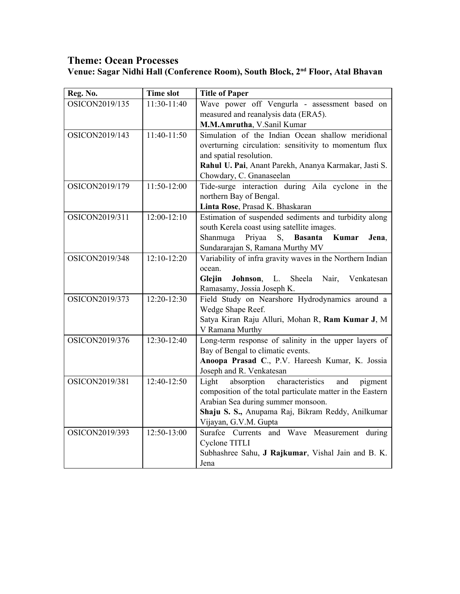## **Theme: Ocean Processes Venue: Sagar Nidhi Hall (Conference Room), South Block, 2nd Floor, Atal Bhavan**

| Reg. No.       | <b>Time slot</b> | <b>Title of Paper</b>                                      |
|----------------|------------------|------------------------------------------------------------|
| OSICON2019/135 | 11:30-11:40      | Wave power off Vengurla - assessment based on              |
|                |                  | measured and reanalysis data (ERA5).                       |
|                |                  | M.M.Amrutha, V.Sanil Kumar                                 |
| OSICON2019/143 | 11:40-11:50      | Simulation of the Indian Ocean shallow meridional          |
|                |                  | overturning circulation: sensitivity to momentum flux      |
|                |                  | and spatial resolution.                                    |
|                |                  | Rahul U. Pai, Anant Parekh, Ananya Karmakar, Jasti S.      |
|                |                  | Chowdary, C. Gnanaseelan                                   |
| OSICON2019/179 | 11:50-12:00      | Tide-surge interaction during Aila cyclone in the          |
|                |                  | northern Bay of Bengal.                                    |
|                |                  | Linta Rose, Prasad K. Bhaskaran                            |
| OSICON2019/311 | $12:00-12:10$    | Estimation of suspended sediments and turbidity along      |
|                |                  | south Kerela coast using satellite images.                 |
|                |                  | Priyaa<br>Kumar<br>Shanmuga<br>S, Basanta<br>Jena,         |
|                |                  | Sundararajan S, Ramana Murthy MV                           |
| OSICON2019/348 | $12:10-12:20$    | Variability of infra gravity waves in the Northern Indian  |
|                |                  | ocean.                                                     |
|                |                  | Glejin<br>Sheela<br>Johnson,<br>L.<br>Nair, Venkatesan     |
|                |                  | Ramasamy, Jossia Joseph K.                                 |
| OSICON2019/373 | $12:20 - 12:30$  | Field Study on Nearshore Hydrodynamics around a            |
|                |                  | Wedge Shape Reef.                                          |
|                |                  | Satya Kiran Raju Alluri, Mohan R, Ram Kumar J, M           |
|                |                  | V Ramana Murthy                                            |
| OSICON2019/376 | 12:30-12:40      | Long-term response of salinity in the upper layers of      |
|                |                  | Bay of Bengal to climatic events.                          |
|                |                  | Anoopa Prasad C., P.V. Hareesh Kumar, K. Jossia            |
|                |                  | Joseph and R. Venkatesan                                   |
| OSICON2019/381 | 12:40-12:50      | Light<br>absorption<br>characteristics<br>and<br>pigment   |
|                |                  | composition of the total particulate matter in the Eastern |
|                |                  | Arabian Sea during summer monsoon.                         |
|                |                  | Shaju S. S., Anupama Raj, Bikram Reddy, Anilkumar          |
|                |                  | Vijayan, G.V.M. Gupta                                      |
| OSICON2019/393 | 12:50-13:00      | Surafce Currents and Wave Measurement during               |
|                |                  | Cyclone TITLI                                              |
|                |                  | Subhashree Sahu, J Rajkumar, Vishal Jain and B. K.         |
|                |                  | Jena                                                       |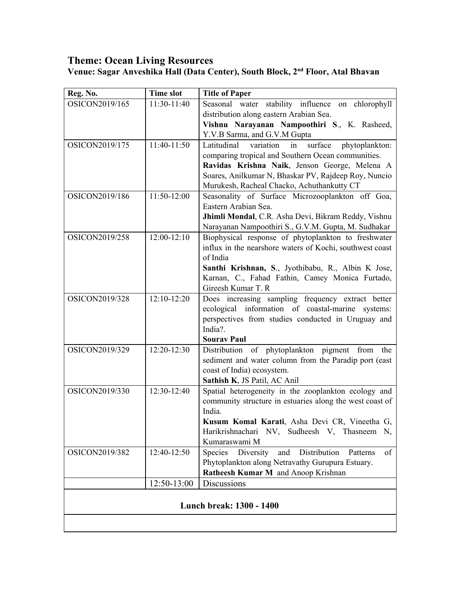| Reg. No.                 | <b>Time slot</b>                  | <b>Title of Paper</b>                                                                   |  |  |  |
|--------------------------|-----------------------------------|-----------------------------------------------------------------------------------------|--|--|--|
| OSICON2019/165           | 11:30-11:40                       | Seasonal water stability influence on chlorophyll                                       |  |  |  |
|                          |                                   | distribution along eastern Arabian Sea.                                                 |  |  |  |
|                          |                                   | Vishnu Narayanan Nampoothiri S., K. Rasheed,                                            |  |  |  |
|                          |                                   | Y.V.B Sarma, and G.V.M Gupta                                                            |  |  |  |
| OSICON2019/175           | 11:40-11:50                       | Latitudinal<br>surface<br>phytoplankton:<br>variation<br>in                             |  |  |  |
|                          |                                   | comparing tropical and Southern Ocean communities.                                      |  |  |  |
|                          |                                   | Ravidas Krishna Naik, Jenson George, Melena A                                           |  |  |  |
|                          |                                   | Soares, Anilkumar N, Bhaskar PV, Rajdeep Roy, Nuncio                                    |  |  |  |
|                          |                                   | Murukesh, Racheal Chacko, Achuthankutty CT                                              |  |  |  |
| OSICON2019/186           | 11:50-12:00                       | Seasonality of Surface Microzooplankton off Goa,                                        |  |  |  |
|                          |                                   | Eastern Arabian Sea.                                                                    |  |  |  |
|                          |                                   | Jhimli Mondal, C.R. Asha Devi, Bikram Reddy, Vishnu                                     |  |  |  |
|                          |                                   | Narayanan Nampoothiri S., G.V.M. Gupta, M. Sudhakar                                     |  |  |  |
| OSICON2019/258           | $12:00-12:10$                     | Biophysical response of phytoplankton to freshwater                                     |  |  |  |
|                          |                                   | influx in the nearshore waters of Kochi, southwest coast                                |  |  |  |
|                          |                                   | of India                                                                                |  |  |  |
|                          |                                   | Santhi Krishnan, S., Jyothibabu, R., Albin K Jose,                                      |  |  |  |
|                          |                                   | Karnan, C., Fahad Fathin, Camey Monica Furtado,                                         |  |  |  |
|                          |                                   | Gireesh Kumar T. R                                                                      |  |  |  |
| OSICON2019/328           | $12:10-12:20$                     | Does increasing sampling frequency extract better                                       |  |  |  |
|                          |                                   | ecological information of coastal-marine systems:                                       |  |  |  |
|                          |                                   | perspectives from studies conducted in Uruguay and                                      |  |  |  |
|                          |                                   | India?.                                                                                 |  |  |  |
|                          |                                   | <b>Sourav Paul</b>                                                                      |  |  |  |
| OSICON2019/329           | 12:20-12:30                       | Distribution of phytoplankton pigment from<br>the                                       |  |  |  |
|                          |                                   | sediment and water column from the Paradip port (east                                   |  |  |  |
|                          |                                   | coast of India) ecosystem.                                                              |  |  |  |
|                          |                                   | Sathish K, JS Patil, AC Anil                                                            |  |  |  |
| OSICON2019/330           | 12:30-12:40                       | Spatial heterogeneity in the zooplankton ecology and                                    |  |  |  |
|                          |                                   | community structure in estuaries along the west coast of                                |  |  |  |
|                          |                                   | India.                                                                                  |  |  |  |
|                          |                                   | Kusum Komal Karati, Asha Devi CR, Vineetha G,                                           |  |  |  |
|                          |                                   | Harikrishnachari NV, Sudheesh V, Thasneem N,<br>Kumaraswami M                           |  |  |  |
|                          |                                   |                                                                                         |  |  |  |
| OSICON2019/382           | 12:40-12:50                       | Distribution<br>Diversity<br>and<br>of<br>Species<br>Patterns                           |  |  |  |
|                          |                                   | Phytoplankton along Netravathy Gurupura Estuary.<br>Ratheesh Kumar M and Anoop Krishnan |  |  |  |
|                          |                                   |                                                                                         |  |  |  |
|                          | 12:50-13:00<br><b>Discussions</b> |                                                                                         |  |  |  |
| Lunch break: 1300 - 1400 |                                   |                                                                                         |  |  |  |
|                          |                                   |                                                                                         |  |  |  |
|                          |                                   |                                                                                         |  |  |  |

#### **Venue: Sagar Anveshika Hall (Data Center), South Block, 2nd Floor, Atal Bhavan**